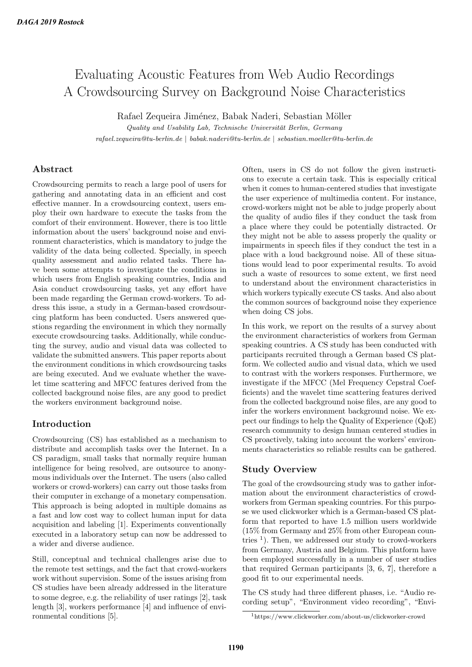# Evaluating Acoustic Features from Web Audio Recordings A Crowdsourcing Survey on Background Noise Characteristics

Rafael Zequeira Jiménez, Babak Naderi, Sebastian Möller

Quality and Usability Lab, Technische Universität Berlin, Germany

rafael.zequeira@tu-berlin.de | babak.naderi@tu-berlin.de | sebastian.moeller@tu-berlin.de

## Abstract

Crowdsourcing permits to reach a large pool of users for gathering and annotating data in an efficient and cost effective manner. In a crowdsourcing context, users employ their own hardware to execute the tasks from the comfort of their environment. However, there is too little information about the users' background noise and environment characteristics, which is mandatory to judge the validity of the data being collected. Specially, in speech quality assessment and audio related tasks. There have been some attempts to investigate the conditions in which users from English speaking countries, India and Asia conduct crowdsourcing tasks, yet any effort have been made regarding the German crowd-workers. To address this issue, a study in a German-based crowdsourcing platform has been conducted. Users answered questions regarding the environment in which they normally execute crowdsourcing tasks. Additionally, while conducting the survey, audio and visual data was collected to validate the submitted answers. This paper reports about the environment conditions in which crowdsourcing tasks are being executed. And we evaluate whether the wavelet time scattering and MFCC features derived from the collected background noise files, are any good to predict the workers environment background noise.

## Introduction

Crowdsourcing (CS) has established as a mechanism to distribute and accomplish tasks over the Internet. In a CS paradigm, small tasks that normally require human intelligence for being resolved, are outsource to anonymous individuals over the Internet. The users (also called workers or crowd-workers) can carry out those tasks from their computer in exchange of a monetary compensation. This approach is being adopted in multiple domains as a fast and low cost way to collect human input for data acquisition and labeling [1]. Experiments conventionally executed in a laboratory setup can now be addressed to a wider and diverse audience.

Still, conceptual and technical challenges arise due to the remote test settings, and the fact that crowd-workers work without supervision. Some of the issues arising from CS studies have been already addressed in the literature to some degree, e.g. the reliability of user ratings [2], task length [3], workers performance [4] and influence of environmental conditions [5].

Often, users in CS do not follow the given instructions to execute a certain task. This is especially critical when it comes to human-centered studies that investigate the user experience of multimedia content. For instance, crowd-workers might not be able to judge properly about the quality of audio files if they conduct the task from a place where they could be potentially distracted. Or they might not be able to assess properly the quality or impairments in speech files if they conduct the test in a place with a loud background noise. All of these situations would lead to poor experimental results. To avoid such a waste of resources to some extent, we first need to understand about the environment characteristics in which workers typically execute CS tasks. And also about the common sources of background noise they experience when doing CS jobs.

In this work, we report on the results of a survey about the environment characteristics of workers from German speaking countries. A CS study has been conducted with participants recruited through a German based CS platform. We collected audio and visual data, which we used to contrast with the workers responses. Furthermore, we investigate if the MFCC (Mel Frequency Cepstral Coefficients) and the wavelet time scattering features derived from the collected background noise files, are any good to infer the workers environment background noise. We expect our findings to help the Quality of Experience (QoE) research community to design human centered studies in CS proactively, taking into account the workers' environments characteristics so reliable results can be gathered.

## Study Overview

The goal of the crowdsourcing study was to gather information about the environment characteristics of crowdworkers from German speaking countries. For this purpose we used clickworker which is a German-based CS platform that reported to have 1.5 million users worldwide (15% from Germany and 25% from other European countries  $<sup>1</sup>$ ). Then, we addressed our study to crowd-workers</sup> from Germany, Austria and Belgium. This platform have been employed successfully in a number of user studies that required German participants [3, 6, 7], therefore a good fit to our experimental needs.

The CS study had three different phases, i.e. "Audio recording setup", "Environment video recording", "Envi-

<sup>1</sup>https://www.clickworker.com/about-us/clickworker-crowd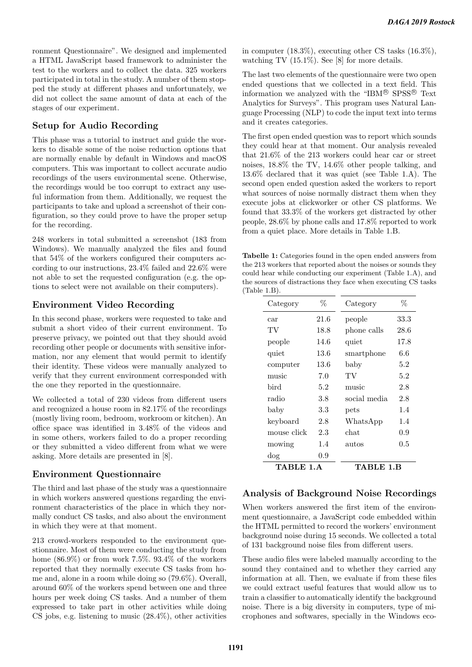ronment Questionnaire". We designed and implemented a HTML JavaScript based framework to administer the test to the workers and to collect the data. 325 workers participated in total in the study. A number of them stopped the study at different phases and unfortunately, we did not collect the same amount of data at each of the stages of our experiment.

#### Setup for Audio Recording

This phase was a tutorial to instruct and guide the workers to disable some of the noise reduction options that are normally enable by default in Windows and macOS computers. This was important to collect accurate audio recordings of the users environmental scene. Otherwise, the recordings would be too corrupt to extract any useful information from them. Additionally, we request the participants to take and upload a screenshot of their configuration, so they could prove to have the proper setup for the recording.

248 workers in total submitted a screenshot (183 from Windows). We manually analyzed the files and found that 54% of the workers configured their computers according to our instructions, 23.4% failed and 22.6% were not able to set the requested configuration (e.g. the options to select were not available on their computers).

#### Environment Video Recording

In this second phase, workers were requested to take and submit a short video of their current environment. To preserve privacy, we pointed out that they should avoid recording other people or documents with sensitive information, nor any element that would permit to identify their identity. These videos were manually analyzed to verify that they current environment corresponded with the one they reported in the questionnaire.

We collected a total of 230 videos from different users and recognized a house room in 82.17% of the recordings (mostly living room, bedroom, workroom or kitchen). An office space was identified in 3.48% of the videos and in some others, workers failed to do a proper recording or they submitted a video different from what we were asking. More details are presented in [8].

#### Environment Questionnaire

The third and last phase of the study was a questionnaire in which workers answered questions regarding the environment characteristics of the place in which they normally conduct CS tasks, and also about the environment in which they were at that moment.

213 crowd-workers responded to the environment questionnaire. Most of them were conducting the study from home  $(86.9\%)$  or from work 7.5%. 93.4% of the workers reported that they normally execute CS tasks from home and, alone in a room while doing so (79.6%). Overall, around 60% of the workers spend between one and three hours per week doing CS tasks. And a number of them expressed to take part in other activities while doing CS jobs, e.g. listening to music (28.4%), other activities in computer (18.3%), executing other CS tasks (16.3%), watching TV (15.1%). See [8] for more details.

The last two elements of the questionnaire were two open ended questions that we collected in a text field. This information we analyzed with the "IBM $\textcircled{B}$  SPSS $\textcircled{B}$  Text Analytics for Surveys". This program uses Natural Language Processing (NLP) to code the input text into terms and it creates categories.

The first open ended question was to report which sounds they could hear at that moment. Our analysis revealed that 21.6% of the 213 workers could hear car or street noises, 18.8% the TV, 14.6% other people talking, and 13.6% declared that it was quiet (see Table 1.A). The second open ended question asked the workers to report what sources of noise normally distract them when they execute jobs at clickworker or other CS platforms. We found that 33.3% of the workers get distracted by other people, 28.6% by phone calls and 17.8% reported to work from a quiet place. More details in Table 1.B.

Tabelle 1: Categories found in the open ended answers from the 213 workers that reported about the noises or sounds they could hear while conducting our experiment (Table 1.A), and the sources of distractions they face when executing CS tasks (Table 1.B).

| Category    | %        | Category     | %       |
|-------------|----------|--------------|---------|
| car         | $21.6\,$ | people       | 33.3    |
| TV          | 18.8     | phone calls  | 28.6    |
| people      | 14.6     | quiet        | 17.8    |
| quiet       | 13.6     | smartphone   | 6.6     |
| computer    | 13.6     | baby         | 5.2     |
| music       | 7.0      | TV           | 5.2     |
| bird        | 5.2      | music        | 2.8     |
| radio       | 3.8      | social media | 2.8     |
| baby        | 3.3      | pets         | 1.4     |
| keyboard    | 2.8      | WhatsApp     | 1.4     |
| mouse click | 2.3      | chat         | 0.9     |
| mowing      | 1.4      | autos        | $0.5\,$ |
| dog         | 0.9      |              |         |
| TABLE 1.A   |          | TABLE 1.B    |         |

#### Analysis of Background Noise Recordings

When workers answered the first item of the environment questionnaire, a JavaScript code embedded within the HTML permitted to record the workers' environment background noise during 15 seconds. We collected a total of 131 background noise files from different users.

These audio files were labeled manually according to the sound they contained and to whether they carried any information at all. Then, we evaluate if from these files we could extract useful features that would allow us to train a classifier to automatically identify the background noise. There is a big diversity in computers, type of microphones and softwares, specially in the Windows eco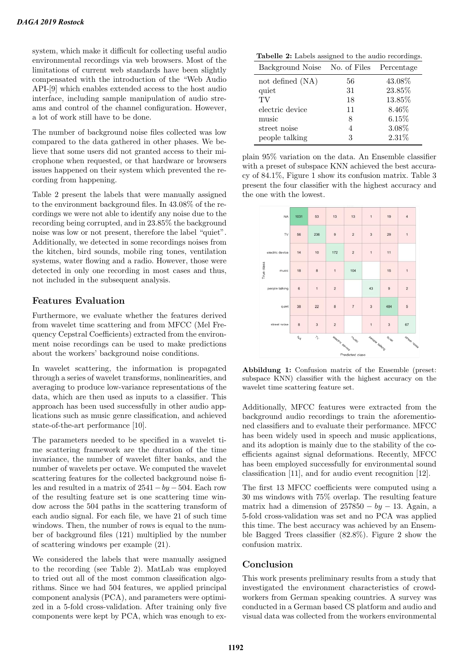system, which make it difficult for collecting useful audio environmental recordings via web browsers. Most of the limitations of current web standards have been slightly compensated with the introduction of the "Web Audio API-[9] which enables extended access to the host audio interface, including sample manipulation of audio streams and control of the channel configuration. However, a lot of work still have to be done.

The number of background noise files collected was low compared to the data gathered in other phases. We believe that some users did not granted access to their microphone when requested, or that hardware or browsers issues happened on their system which prevented the recording from happening.

Table 2 present the labels that were manually assigned to the environment background files. In 43.08% of the recordings we were not able to identify any noise due to the recording being corrupted, and in 23.85% the background noise was low or not present, therefore the label "quiet". Additionally, we detected in some recordings noises from the kitchen, bird sounds, mobile ring tones, ventilation systems, water flowing and a radio. However, those were detected in only one recording in most cases and thus, not included in the subsequent analysis.

#### Features Evaluation

Furthermore, we evaluate whether the features derived from wavelet time scattering and from MFCC (Mel Frequency Cepstral Coefficients) extracted from the environment noise recordings can be used to make predictions about the workers' background noise conditions.

In wavelet scattering, the information is propagated through a series of wavelet transforms, nonlinearities, and averaging to produce low-variance representations of the data, which are then used as inputs to a classifier. This approach has been used successfully in other audio applications such as music genre classification, and achieved state-of-the-art performance [10].

The parameters needed to be specified in a wavelet time scattering framework are the duration of the time invariance, the number of wavelet filter banks, and the number of wavelets per octave. We computed the wavelet scattering features for the collected background noise files and resulted in a matrix of  $2541 - by - 504$ . Each row of the resulting feature set is one scattering time window across the 504 paths in the scattering transform of each audio signal. For each file, we have 21 of such time windows. Then, the number of rows is equal to the number of background files (121) multiplied by the number of scattering windows per example (21).

We considered the labels that were manually assigned to the recording (see Table 2). MatLab was employed to tried out all of the most common classification algorithms. Since we had 504 features, we applied principal component analysis (PCA), and parameters were optimized in a 5-fold cross-validation. After training only five components were kept by PCA, which was enough to ex-

Tabelle 2: Labels assigned to the audio recordings.

| Background Noise | No. of Files | Percentage |
|------------------|--------------|------------|
| not defined (NA) | 56           | 43.08%     |
| quiet            | 31           | 23.85%     |
| TV               | 18           | 13.85%     |
| electric device  | 11           | 8.46%      |
| music            | 8            | 6.15%      |
| street noise     | 4            | 3.08%      |
| people talking   | 3            | 2.31%      |

plain 95% variation on the data. An Ensemble classifier with a preset of subspace KNN achieved the best accuracy of 84.1%, Figure 1 show its confusion matrix. Table 3 present the four classifier with the highest accuracy and the one with the lowest.



Abbildung 1: Confusion matrix of the Ensemble (preset: subspace KNN) classifier with the highest accuracy on the wavelet time scattering feature set.

Additionally, MFCC features were extracted from the background audio recordings to train the aforementioned classifiers and to evaluate their performance. MFCC has been widely used in speech and music applications, and its adoption is mainly due to the stability of the coefficients against signal deformations. Recently, MFCC has been employed successfully for environmental sound classification [11], and for audio event recognition [12].

The first 13 MFCC coefficients were computed using a 30 ms windows with 75% overlap. The resulting feature matrix had a dimension of  $257850 - by - 13$ . Again, a 5-fold cross-validation was set and no PCA was applied this time. The best accuracy was achieved by an Ensemble Bagged Trees classifier (82.8%). Figure 2 show the confusion matrix.

## Conclusion

This work presents preliminary results from a study that investigated the environment characteristics of crowdworkers from German speaking countries. A survey was conducted in a German based CS platform and audio and visual data was collected from the workers environmental